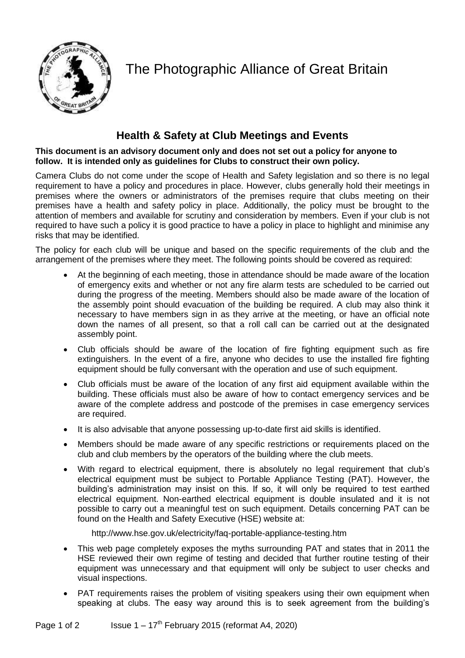

## **Health & Safety at Club Meetings and Events**

**This document is an advisory document only and does not set out a policy for anyone to follow. It is intended only as guidelines for Clubs to construct their own policy.**

Camera Clubs do not come under the scope of Health and Safety legislation and so there is no legal requirement to have a policy and procedures in place. However, clubs generally hold their meetings in premises where the owners or administrators of the premises require that clubs meeting on their premises have a health and safety policy in place. Additionally, the policy must be brought to the attention of members and available for scrutiny and consideration by members. Even if your club is not required to have such a policy it is good practice to have a policy in place to highlight and minimise any risks that may be identified.

The policy for each club will be unique and based on the specific requirements of the club and the arrangement of the premises where they meet. The following points should be covered as required:

- At the beginning of each meeting, those in attendance should be made aware of the location of emergency exits and whether or not any fire alarm tests are scheduled to be carried out during the progress of the meeting. Members should also be made aware of the location of the assembly point should evacuation of the building be required. A club may also think it necessary to have members sign in as they arrive at the meeting, or have an official note down the names of all present, so that a roll call can be carried out at the designated assembly point.
- Club officials should be aware of the location of fire fighting equipment such as fire extinguishers. In the event of a fire, anyone who decides to use the installed fire fighting equipment should be fully conversant with the operation and use of such equipment.
- Club officials must be aware of the location of any first aid equipment available within the building. These officials must also be aware of how to contact emergency services and be aware of the complete address and postcode of the premises in case emergency services are required.
- It is also advisable that anyone possessing up-to-date first aid skills is identified.
- Members should be made aware of any specific restrictions or requirements placed on the club and club members by the operators of the building where the club meets.
- With regard to electrical equipment, there is absolutely no legal requirement that club's electrical equipment must be subject to Portable Appliance Testing (PAT). However, the building's administration may insist on this. If so, it will only be required to test earthed electrical equipment. Non-earthed electrical equipment is double insulated and it is not possible to carry out a meaningful test on such equipment. Details concerning PAT can be found on the Health and Safety Executive (HSE) website at:

http://www.hse.gov.uk/electricity/faq-portable-appliance-testing.htm

- This web page completely exposes the myths surrounding PAT and states that in 2011 the HSE reviewed their own regime of testing and decided that further routine testing of their equipment was unnecessary and that equipment will only be subject to user checks and visual inspections.
- PAT requirements raises the problem of visiting speakers using their own equipment when speaking at clubs. The easy way around this is to seek agreement from the building's